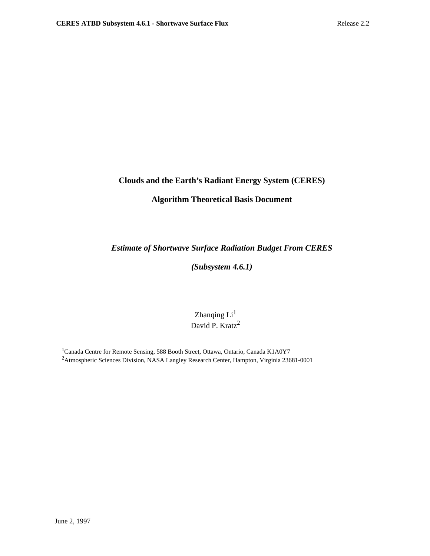## **Clouds and the Earth's Radiant Energy System (CERES)**

## **Algorithm Theoretical Basis Document**

## *Estimate of Shortwave Surface Radiation Budget From CERES*

# *(Subsystem 4.6.1)*

# Zhanqing  $Li<sup>1</sup>$ David P. Kratz<sup>2</sup>

<sup>1</sup>Canada Centre for Remote Sensing, 588 Booth Street, Ottawa, Ontario, Canada K1A0Y7 2Atmospheric Sciences Division, NASA Langley Research Center, Hampton, Virginia 23681-0001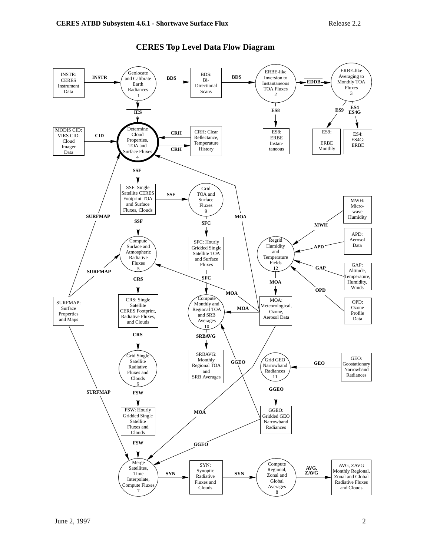

## **CERES Top Level Data Flow Diagram**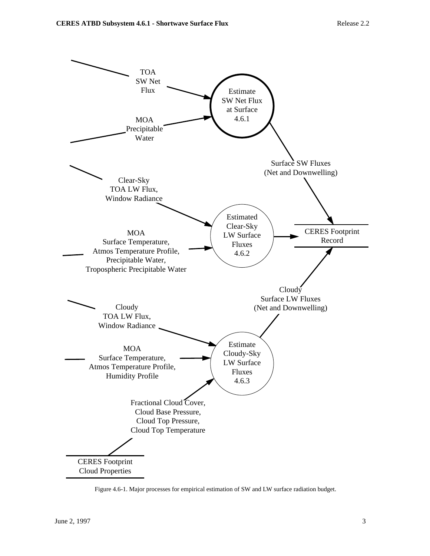

Figure 4.6-1. Major processes for empirical estimation of SW and LW surface radiation budget.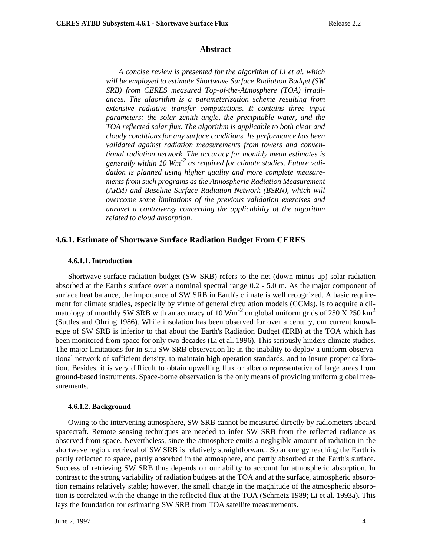#### **Abstract**

*A concise review is presented for the algorithm of Li et al. which will be employed to estimate Shortwave Surface Radiation Budget (SW SRB) from CERES measured Top-of-the-Atmosphere (TOA) irradiances. The algorithm is a parameterization scheme resulting from extensive radiative transfer computations. It contains three input parameters: the solar zenith angle, the precipitable water, and the TOA reflected solar flux. The algorithm is applicable to both clear and cloudy conditions for any surface conditions. Its performance has been validated against radiation measurements from towers and conventional radiation network. The accuracy for monthly mean estimates is generally within 10 Wm-2 as required for climate studies. Future validation is planned using higher quality and more complete measurements from such programs as the Atmospheric Radiation Measurement (ARM) and Baseline Surface Radiation Network (BSRN), which will overcome some limitations of the previous validation exercises and unravel a controversy concerning the applicability of the algorithm related to cloud absorption.*

### **4.6.1. Estimate of Shortwave Surface Radiation Budget From CERES**

#### **4.6.1.1. Introduction**

Shortwave surface radiation budget (SW SRB) refers to the net (down minus up) solar radiation absorbed at the Earth's surface over a nominal spectral range 0.2 - 5.0 µm. As the major component of surface heat balance, the importance of SW SRB in Earth's climate is well recognized. A basic requirement for climate studies, especially by virtue of general circulation models (GCMs), is to acquire a climatology of monthly SW SRB with an accuracy of 10  $\text{Wm}^{-2}$  on global uniform grids of 250 X 250 km<sup>2</sup> (Suttles and Ohring 1986). While insolation has been observed for over a century, our current knowledge of SW SRB is inferior to that about the Earth's Radiation Budget (ERB) at the TOA which has been monitored from space for only two decades (Li et al. 1996). This seriously hinders climate studies. The major limitations for in-situ SW SRB observation lie in the inability to deploy a uniform observational network of sufficient density, to maintain high operation standards, and to insure proper calibration. Besides, it is very difficult to obtain upwelling flux or albedo representative of large areas from ground-based instruments. Space-borne observation is the only means of providing uniform global measurements.

#### **4.6.1.2. Background**

Owing to the intervening atmosphere, SW SRB cannot be measured directly by radiometers aboard spacecraft. Remote sensing techniques are needed to infer SW SRB from the reflected radiance as observed from space. Nevertheless, since the atmosphere emits a negligible amount of radiation in the shortwave region, retrieval of SW SRB is relatively straightforward. Solar energy reaching the Earth is partly reflected to space, partly absorbed in the atmosphere, and partly absorbed at the Earth's surface. Success of retrieving SW SRB thus depends on our ability to account for atmospheric absorption. In contrast to the strong variability of radiation budgets at the TOA and at the surface, atmospheric absorption remains relatively stable; however, the small change in the magnitude of the atmospheric absorption is correlated with the change in the reflected flux at the TOA (Schmetz 1989; Li et al. 1993a). This lays the foundation for estimating SW SRB from TOA satellite measurements.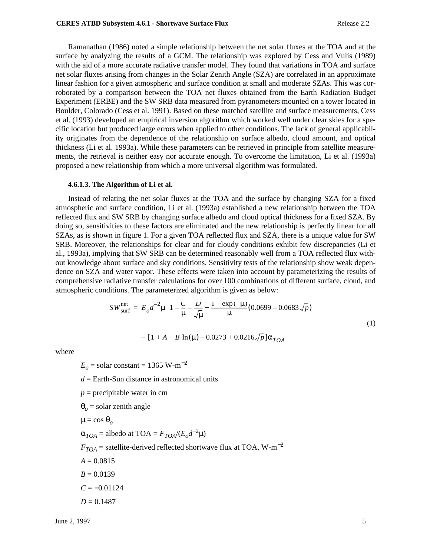Ramanathan (1986) noted a simple relationship between the net solar fluxes at the TOA and at the surface by analyzing the results of a GCM. The relationship was explored by Cess and Vulis (1989) with the aid of a more accurate radiative transfer model. They found that variations in TOA and surface net solar fluxes arising from changes in the Solar Zenith Angle (SZA) are correlated in an approximate linear fashion for a given atmospheric and surface condition at small and moderate SZAs. This was corroborated by a comparison between the TOA net fluxes obtained from the Earth Radiation Budget Experiment (ERBE) and the SW SRB data measured from pyranometers mounted on a tower located in Boulder, Colorado (Cess et al. 1991). Based on these matched satellite and surface measurements, Cess et al. (1993) developed an empirical inversion algorithm which worked well under clear skies for a specific location but produced large errors when applied to other conditions. The lack of general applicability originates from the dependence of the relationship on surface albedo, cloud amount, and optical thickness (Li et al. 1993a). While these parameters can be retrieved in principle from satellite measurements, the retrieval is neither easy nor accurate enough. To overcome the limitation, Li et al. (1993a) proposed a new relationship from which a more universal algorithm was formulated.

### **4.6.1.3. The Algorithm of Li et al.**

Instead of relating the net solar fluxes at the TOA and the surface by changing SZA for a fixed atmospheric and surface condition, Li et al. (1993a) established a new relationship between the TOA reflected flux and SW SRB by changing surface albedo and cloud optical thickness for a fixed SZA. By doing so, sensitivities to these factors are eliminated and the new relationship is perfectly linear for all SZAs, as is shown in figure 1. For a given TOA reflected flux and SZA, there is a unique value for SW SRB. Moreover, the relationships for clear and for cloudy conditions exhibit few discrepancies (Li et al., 1993a), implying that SW SRB can be determined reasonably well from a TOA reflected flux without knowledge about surface and sky conditions. Sensitivity tests of the relationship show weak dependence on SZA and water vapor. These effects were taken into account by parameterizing the results of comprehensive radiative transfer calculations for over 100 combinations of different surface, cloud, and atmospheric conditions. The parameterized algorithm is given as below:

$$
SW_{\text{surf}}^{\text{net}} = E_o d^{-2} \mu \left\{ 1 - \frac{C}{\mu} - \frac{D}{\sqrt{\mu}} + \frac{1 - \exp(-\mu)}{\mu} (0.0699 - 0.0683 \sqrt{p}) - \left[ 1 + A + B \ln(\mu) - 0.0273 + 0.0216 \sqrt{p} \right] \alpha_{TOA} \right\}
$$
\n(1)

where

$$
E_o = \text{solar constant} = 1365 \text{ W} \cdot \text{m}^{-2}
$$

*d* = Earth-Sun distance in astronomical units

 $p =$  precipitable water in cm

 $\theta$ <sup> $o$ </sup> = solar zenith angle

$$
\mu = \cos \theta_o
$$

 $\alpha_{TOA} =$  albedo at TOA =  $F_{TOA}/(E_o d^{-2} \mu)$ 

 $F_{TOA}$  = satellite-derived reflected shortwave flux at TOA, W-m<sup>-2</sup>

 $A = 0.0815$ 

 $B = 0.0139$ 

 $C = -0.01124$ 

 $D = 0.1487$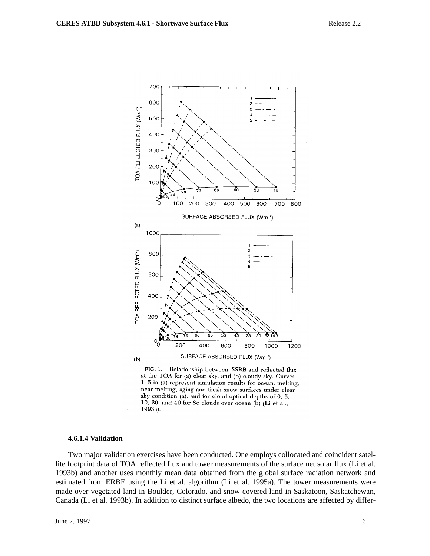

FIG. 1. Relationship between SSRB and reflected flux at the TOA for (a) clear sky, and (b) cloudy sky. Curves  $1-5$  in (a) represent simulation results for ocean, melting, near melting, aging and fresh snow surfaces under clear sky condition (a), and for cloud optical depths of 0, 5, 10, 20, and 40 for Sc clouds over ocean  $(\tilde{b})$  (Li et al., 1993a).

#### **4.6.1.4 Validation**

Two major validation exercises have been conducted. One employs collocated and coincident satellite footprint data of TOA reflected flux and tower measurements of the surface net solar flux (Li et al. 1993b) and another uses monthly mean data obtained from the global surface radiation network and estimated from ERBE using the Li et al. algorithm (Li et al. 1995a). The tower measurements were made over vegetated land in Boulder, Colorado, and snow covered land in Saskatoon, Saskatchewan, Canada (Li et al. 1993b). In addition to distinct surface albedo, the two locations are affected by differ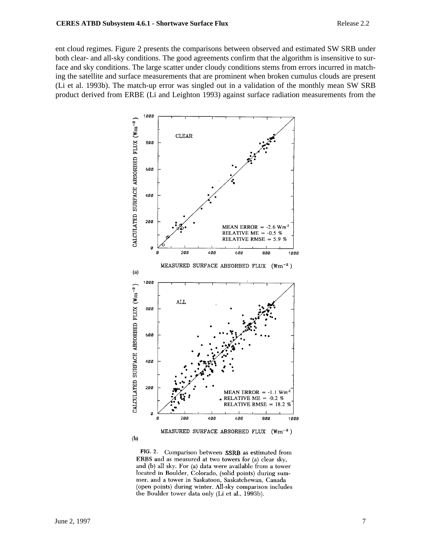ent cloud regimes. Figure 2 presents the comparisons between observed and estimated SW SRB under both clear- and all-sky conditions. The good agreements confirm that the algorithm is insensitive to surface and sky conditions. The large scatter under cloudy conditions stems from errors incurred in matching the satellite and surface measurements that are prominent when broken cumulus clouds are present (Li et al. 1993b). The match-up error was singled out in a validation of the monthly mean SW SRB product derived from ERBE (Li and Leighton 1993) against surface radiation measurements from the



FIG. 2. Comparison between SSRB as estimated from ERBS and as measured at two towers for (a) clear sky, and (b) all sky. For (a) data were available from a tower located in Boulder, Colorado, (solid points) during summer, and a tower in Saskatoon, Saskatchewan, Canada (open points) during winter. All-sky comparison includes the Boulder tower data only (Li et al., 1993b).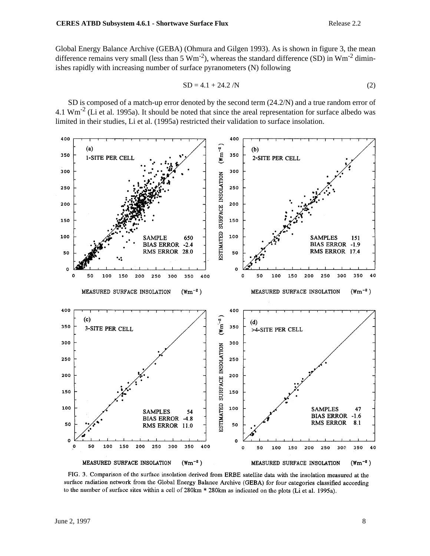Global Energy Balance Archive (GEBA) (Ohmura and Gilgen 1993). As is shown in figure 3, the mean difference remains very small (less than 5  $Wm^{-2}$ ), whereas the standard difference (SD) in  $Wm^{-2}$  diminishes rapidly with increasing number of surface pyranometers (N) following

$$
SD = 4.1 + 24.2 / N \tag{2}
$$

SD is composed of a match-up error denoted by the second term (24.2/N) and a true random error of 4.1  $Wm^{-2}$  (Li et al. 1995a). It should be noted that since the areal representation for surface albedo was limited in their studies, Li et al. (1995a) restricted their validation to surface insolation.



FIG. 3. Comparison of the surface insolation derived from ERBE satellite data with the insolation measured at the surface radiation network from the Global Energy Balance Archive (GEBA) for four categories classified according to the number of surface sites within a cell of 280km \* 280km as indicated on the plots (Li et al. 1995a).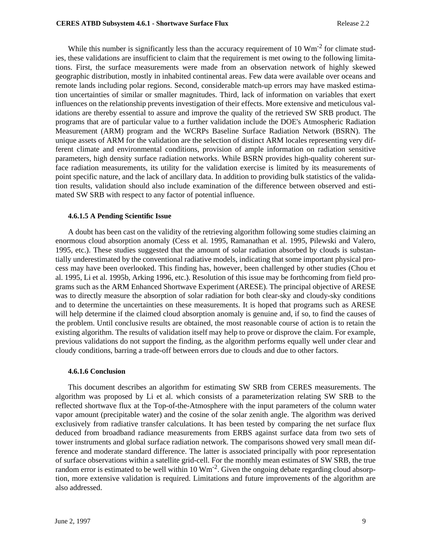While this number is significantly less than the accuracy requirement of 10  $\text{Wm}^{-2}$  for climate studies, these validations are insufficient to claim that the requirement is met owing to the following limitations. First, the surface measurements were made from an observation network of highly skewed geographic distribution, mostly in inhabited continental areas. Few data were available over oceans and remote lands including polar regions. Second, considerable match-up errors may have masked estimation uncertainties of similar or smaller magnitudes. Third, lack of information on variables that exert influences on the relationship prevents investigation of their effects. More extensive and meticulous validations are thereby essential to assure and improve the quality of the retrieved SW SRB product. The programs that are of particular value to a further validation include the DOE's Atmospheric Radiation Measurement (ARM) program and the WCRPs Baseline Surface Radiation Network (BSRN). The unique assets of ARM for the validation are the selection of distinct ARM locales representing very different climate and environmental conditions, provision of ample information on radiation sensitive parameters, high density surface radiation networks. While BSRN provides high-quality coherent surface radiation measurements, its utility for the validation exercise is limited by its measurements of point specific nature, and the lack of ancillary data. In addition to providing bulk statistics of the validation results, validation should also include examination of the difference between observed and estimated SW SRB with respect to any factor of potential influence.

### **4.6.1.5 A Pending Scientific Issue**

A doubt has been cast on the validity of the retrieving algorithm following some studies claiming an enormous cloud absorption anomaly (Cess et al. 1995, Ramanathan et al. 1995, Pilewski and Valero, 1995, etc.). These studies suggested that the amount of solar radiation absorbed by clouds is substantially underestimated by the conventional radiative models, indicating that some important physical process may have been overlooked. This finding has, however, been challenged by other studies (Chou et al. 1995, Li et al. 1995b, Arking 1996, etc.). Resolution of this issue may be forthcoming from field programs such as the ARM Enhanced Shortwave Experiment (ARESE). The principal objective of ARESE was to directly measure the absorption of solar radiation for both clear-sky and cloudy-sky conditions and to determine the uncertainties on these measurements. It is hoped that programs such as ARESE will help determine if the claimed cloud absorption anomaly is genuine and, if so, to find the causes of the problem. Until conclusive results are obtained, the most reasonable course of action is to retain the existing algorithm. The results of validation itself may help to prove or disprove the claim. For example, previous validations do not support the finding, as the algorithm performs equally well under clear and cloudy conditions, barring a trade-off between errors due to clouds and due to other factors.

### **4.6.1.6 Conclusion**

This document describes an algorithm for estimating SW SRB from CERES measurements. The algorithm was proposed by Li et al. which consists of a parameterization relating SW SRB to the reflected shortwave flux at the Top-of-the-Atmosphere with the input parameters of the column water vapor amount (precipitable water) and the cosine of the solar zenith angle. The algorithm was derived exclusively from radiative transfer calculations. It has been tested by comparing the net surface flux deduced from broadband radiance measurements from ERBS against surface data from two sets of tower instruments and global surface radiation network. The comparisons showed very small mean difference and moderate standard difference. The latter is associated principally with poor representation of surface observations within a satellite grid-cell. For the monthly mean estimates of SW SRB, the true random error is estimated to be well within  $10 \text{ Wm}^{-2}$ . Given the ongoing debate regarding cloud absorption, more extensive validation is required. Limitations and future improvements of the algorithm are also addressed.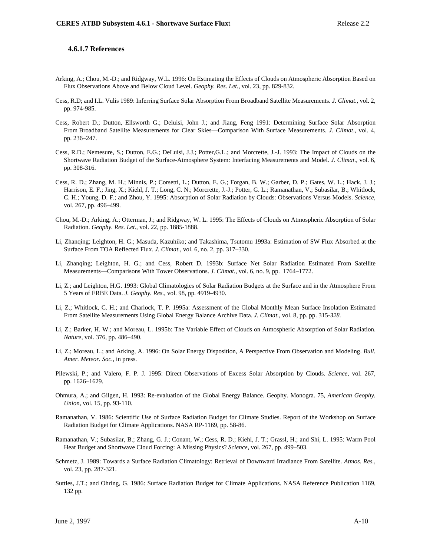#### **4.6.1.7 References**

- Arking, A.; Chou, M.-D.; and Ridgway, W.L. 1996: On Estimating the Effects of Clouds on Atmospheric Absorption Based on Flux Observations Above and Below Cloud Level. *Geophy. Res. Let.*, vol. 23, pp. 829-832.
- Cess, R.D; and I.L. Vulis 1989: Inferring Surface Solar Absorption From Broadband Satellite Measurements. *J. Climat*., vol. 2, pp. 974-985.
- Cess, Robert D.; Dutton, Ellsworth G.; Deluisi, John J.; and Jiang, Feng 1991: Determining Surface Solar Absorption From Broadband Satellite Measurements for Clear Skies—Comparison With Surface Measurements. *J. Climat*., vol. 4, pp. 236–247.
- Cess, R.D.; Nemesure, S.; Dutton, E.G.; DeLuisi, J.J.; Potter,G.L.; and Morcrette, J.-J. 1993: The Impact of Clouds on the Shortwave Radiation Budget of the Surface-Atmosphere System: Interfacing Measurements and Model. *J. Climat*., vol. 6, pp. 308-316.
- Cess, R. D.; Zhang, M. H.; Minnis, P.; Corsetti, L.; Dutton, E. G.; Forgan, B. W.; Garber, D. P.; Gates, W. L.; Hack, J. J.; Harrison, E. F.; Jing, X.; Kiehl, J. T.; Long, C. N.; Morcrette, J.-J.; Potter, G. L.; Ramanathan, V.; Subasilar, B.; Whitlock, C. H.; Young, D. F.; and Zhou, Y. 1995: Absorption of Solar Radiation by Clouds: Observations Versus Models. *Science*, vol. 267, pp. 496–499.
- Chou, M.-D.; Arking, A.; Otterman, J.; and Ridgway, W. L. 1995: The Effects of Clouds on Atmospheric Absorption of Solar Radiation. *Geophy. Res. Let.*, vol. 22, pp. 1885-1888.
- Li, Zhanqing; Leighton, H. G.; Masuda, Kazuhiko; and Takashima, Tsutomu 1993a: Estimation of SW Flux Absorbed at the Surface From TOA Reflected Flux. *J. Climat.*, vol. 6, no. 2, pp. 317–330.
- Li, Zhanqing; Leighton, H. G.; and Cess, Robert D. 1993b: Surface Net Solar Radiation Estimated From Satellite Measurements—Comparisons With Tower Observations. *J. Climat.,* vol. 6, no. 9, pp. 1764–1772.
- Li, Z.; and Leighton, H.G. 1993: Global Climatologies of Solar Radiation Budgets at the Surface and in the Atmosphere From 5 Years of ERBE Data. *J. Geophy. Res.*, vol. 98, pp. 4919-4930.
- Li, Z.; Whitlock, C. H.; and Charlock, T. P. 1995a: Assessment of the Global Monthly Mean Surface Insolation Estimated From Satellite Measurements Using Global Energy Balance Archive Data. *J. Climat.,* vol. 8, pp. pp. 315-*328.*
- Li, Z.; Barker, H. W.; and Moreau, L. 1995b: The Variable Effect of Clouds on Atmospheric Absorption of Solar Radiation. *Nature,* vol. 376, pp. 486–490.
- Li, Z.; Moreau, L.; and Arking, A. 1996: On Solar Energy Disposition, A Perspective From Observation and Modeling. *Bull. Amer. Meteor. Soc.*, in press.
- Pilewski, P.; and Valero, F. P. J. 1995: Direct Observations of Excess Solar Absorption by Clouds. *Science*, vol. 267, pp. 1626–1629.
- Ohmura, A.; and Gilgen, H. 1993: Re-evaluation of the Global Energy Balance. Geophy. Monogra. 75, *American Geophy. Union*, vol. 15, pp. 93-110.
- Ramanathan, V. 1986: Scientific Use of Surface Radiation Budget for Climate Studies. Report of the Workshop on Surface Radiation Budget for Climate Applications. NASA RP-1169, pp. 58-86.
- Ramanathan, V.; Subasilar, B.; Zhang, G. J.; Conant, W.; Cess, R. D.; Kiehl, J. T.; Grassl, H.; and Shi, L. 1995: Warm Pool Heat Budget and Shortwave Cloud Forcing: A Missing Physics? *Science,* vol. 267, pp. 499–503.
- Schmetz, J. 1989: Towards a Surface Radiation Climatology: Retrieval of Downward Irradiance From Satellite. *Atmos. Res.*, vol. 23, pp. 287-321.
- Suttles, J.T.; and Ohring, G. 1986: Surface Radiation Budget for Climate Applications. NASA Reference Publication 1169, 132 pp.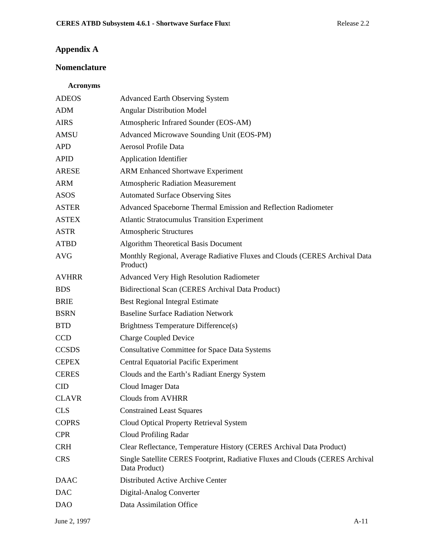# **Appendix A**

# **Nomenclature**

## **Acronyms**

| <b>ADEOS</b> | <b>Advanced Earth Observing System</b>                                                         |
|--------------|------------------------------------------------------------------------------------------------|
| <b>ADM</b>   | <b>Angular Distribution Model</b>                                                              |
| <b>AIRS</b>  | Atmospheric Infrared Sounder (EOS-AM)                                                          |
| AMSU         | Advanced Microwave Sounding Unit (EOS-PM)                                                      |
| <b>APD</b>   | Aerosol Profile Data                                                                           |
| <b>APID</b>  | <b>Application Identifier</b>                                                                  |
| <b>ARESE</b> | <b>ARM Enhanced Shortwave Experiment</b>                                                       |
| <b>ARM</b>   | <b>Atmospheric Radiation Measurement</b>                                                       |
| <b>ASOS</b>  | <b>Automated Surface Observing Sites</b>                                                       |
| <b>ASTER</b> | Advanced Spaceborne Thermal Emission and Reflection Radiometer                                 |
| <b>ASTEX</b> | <b>Atlantic Stratocumulus Transition Experiment</b>                                            |
| <b>ASTR</b>  | <b>Atmospheric Structures</b>                                                                  |
| <b>ATBD</b>  | <b>Algorithm Theoretical Basis Document</b>                                                    |
| <b>AVG</b>   | Monthly Regional, Average Radiative Fluxes and Clouds (CERES Archival Data<br>Product)         |
| <b>AVHRR</b> | Advanced Very High Resolution Radiometer                                                       |
| <b>BDS</b>   | Bidirectional Scan (CERES Archival Data Product)                                               |
| <b>BRIE</b>  | <b>Best Regional Integral Estimate</b>                                                         |
| <b>BSRN</b>  | <b>Baseline Surface Radiation Network</b>                                                      |
| <b>BTD</b>   | Brightness Temperature Difference(s)                                                           |
| <b>CCD</b>   | <b>Charge Coupled Device</b>                                                                   |
| <b>CCSDS</b> | <b>Consultative Committee for Space Data Systems</b>                                           |
| <b>CEPEX</b> | <b>Central Equatorial Pacific Experiment</b>                                                   |
| <b>CERES</b> | Clouds and the Earth's Radiant Energy System                                                   |
| <b>CID</b>   | Cloud Imager Data                                                                              |
| <b>CLAVR</b> | <b>Clouds from AVHRR</b>                                                                       |
| <b>CLS</b>   | <b>Constrained Least Squares</b>                                                               |
| <b>COPRS</b> | Cloud Optical Property Retrieval System                                                        |
| <b>CPR</b>   | Cloud Profiling Radar                                                                          |
| <b>CRH</b>   | Clear Reflectance, Temperature History (CERES Archival Data Product)                           |
| <b>CRS</b>   | Single Satellite CERES Footprint, Radiative Fluxes and Clouds (CERES Archival<br>Data Product) |
| <b>DAAC</b>  | Distributed Active Archive Center                                                              |
| <b>DAC</b>   | Digital-Analog Converter                                                                       |
| <b>DAO</b>   | Data Assimilation Office                                                                       |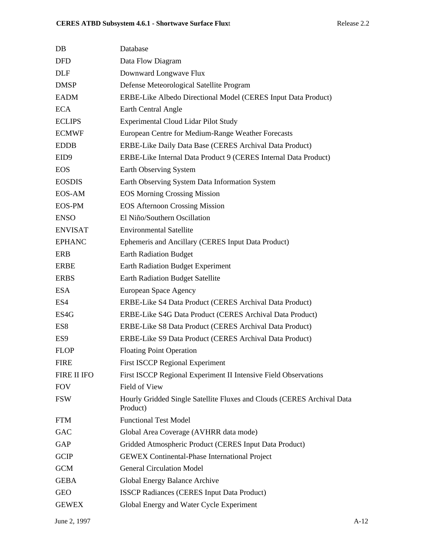| DB             | Database                                                                           |
|----------------|------------------------------------------------------------------------------------|
| DFD            | Data Flow Diagram                                                                  |
| DLF            | Downward Longwave Flux                                                             |
| DMSP           | Defense Meteorological Satellite Program                                           |
| EADM           | ERBE-Like Albedo Directional Model (CERES Input Data Product)                      |
| ECA            | Earth Central Angle                                                                |
| <b>ECLIPS</b>  | <b>Experimental Cloud Lidar Pilot Study</b>                                        |
| ECMWF          | European Centre for Medium-Range Weather Forecasts                                 |
| EDDB           | ERBE-Like Daily Data Base (CERES Archival Data Product)                            |
| EID9           | ERBE-Like Internal Data Product 9 (CERES Internal Data Product)                    |
| EOS            | Earth Observing System                                                             |
| EOSDIS         | Earth Observing System Data Information System                                     |
| EOS-AM         | <b>EOS Morning Crossing Mission</b>                                                |
| EOS-PM         | <b>EOS Afternoon Crossing Mission</b>                                              |
| ENSO           | El Niño/Southern Oscillation                                                       |
| <b>ENVISAT</b> | <b>Environmental Satellite</b>                                                     |
| <b>EPHANC</b>  | Ephemeris and Ancillary (CERES Input Data Product)                                 |
| ERB            | <b>Earth Radiation Budget</b>                                                      |
| ERBE           | <b>Earth Radiation Budget Experiment</b>                                           |
| ERBS           | <b>Earth Radiation Budget Satellite</b>                                            |
| ESA            | European Space Agency                                                              |
| ES4            | ERBE-Like S4 Data Product (CERES Archival Data Product)                            |
| ES4G           | ERBE-Like S4G Data Product (CERES Archival Data Product)                           |
| ES8            | ERBE-Like S8 Data Product (CERES Archival Data Product)                            |
| ES9            | ERBE-Like S9 Data Product (CERES Archival Data Product)                            |
| <b>FLOP</b>    | <b>Floating Point Operation</b>                                                    |
| FIRE           | <b>First ISCCP Regional Experiment</b>                                             |
| FIRE II IFO    | First ISCCP Regional Experiment II Intensive Field Observations                    |
| FOV            | Field of View                                                                      |
| FSW            | Hourly Gridded Single Satellite Fluxes and Clouds (CERES Archival Data<br>Product) |
| FTM            | <b>Functional Test Model</b>                                                       |
| GAC            | Global Area Coverage (AVHRR data mode)                                             |
| GAP            | Gridded Atmospheric Product (CERES Input Data Product)                             |
| GCIP           | <b>GEWEX Continental-Phase International Project</b>                               |
| GCM            | <b>General Circulation Model</b>                                                   |
| GEBA           | Global Energy Balance Archive                                                      |
| GEO            | <b>ISSCP Radiances (CERES Input Data Product)</b>                                  |
| <b>GEWEX</b>   | Global Energy and Water Cycle Experiment                                           |
|                |                                                                                    |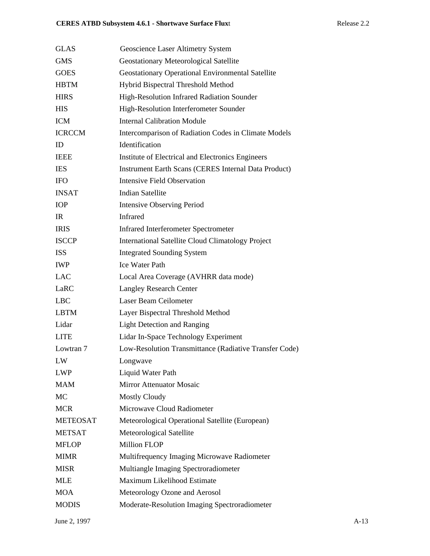| <b>GLAS</b>     | Geoscience Laser Altimetry System                        |
|-----------------|----------------------------------------------------------|
| <b>GMS</b>      | <b>Geostationary Meteorological Satellite</b>            |
| <b>GOES</b>     | <b>Geostationary Operational Environmental Satellite</b> |
| <b>HBTM</b>     | Hybrid Bispectral Threshold Method                       |
| <b>HIRS</b>     | High-Resolution Infrared Radiation Sounder               |
| <b>HIS</b>      | High-Resolution Interferometer Sounder                   |
| <b>ICM</b>      | <b>Internal Calibration Module</b>                       |
| <b>ICRCCM</b>   | Intercomparison of Radiation Codes in Climate Models     |
| ID              | Identification                                           |
| <b>IEEE</b>     | Institute of Electrical and Electronics Engineers        |
| <b>IES</b>      | Instrument Earth Scans (CERES Internal Data Product)     |
| <b>IFO</b>      | <b>Intensive Field Observation</b>                       |
| <b>INSAT</b>    | <b>Indian Satellite</b>                                  |
| IOP             | <b>Intensive Observing Period</b>                        |
| IR              | <b>Infrared</b>                                          |
| <b>IRIS</b>     | <b>Infrared Interferometer Spectrometer</b>              |
| <b>ISCCP</b>    | <b>International Satellite Cloud Climatology Project</b> |
| <b>ISS</b>      | <b>Integrated Sounding System</b>                        |
| IWP             | <b>Ice Water Path</b>                                    |
| <b>LAC</b>      | Local Area Coverage (AVHRR data mode)                    |
| LaRC            | <b>Langley Research Center</b>                           |
| <b>LBC</b>      | Laser Beam Ceilometer                                    |
| LBTM            | Layer Bispectral Threshold Method                        |
| Lidar           | <b>Light Detection and Ranging</b>                       |
| <b>LITE</b>     | Lidar In-Space Technology Experiment                     |
| Lowtran 7       | Low-Resolution Transmittance (Radiative Transfer Code)   |
| LW              | Longwave                                                 |
| <b>LWP</b>      | Liquid Water Path                                        |
| <b>MAM</b>      | Mirror Attenuator Mosaic                                 |
| MC              | <b>Mostly Cloudy</b>                                     |
| <b>MCR</b>      | Microwave Cloud Radiometer                               |
| <b>METEOSAT</b> | Meteorological Operational Satellite (European)          |
| <b>METSAT</b>   | Meteorological Satellite                                 |
| <b>MFLOP</b>    | <b>Million FLOP</b>                                      |
| <b>MIMR</b>     | Multifrequency Imaging Microwave Radiometer              |
| <b>MISR</b>     | Multiangle Imaging Spectroradiometer                     |
| <b>MLE</b>      | Maximum Likelihood Estimate                              |
| <b>MOA</b>      | Meteorology Ozone and Aerosol                            |
| <b>MODIS</b>    | Moderate-Resolution Imaging Spectroradiometer            |
|                 |                                                          |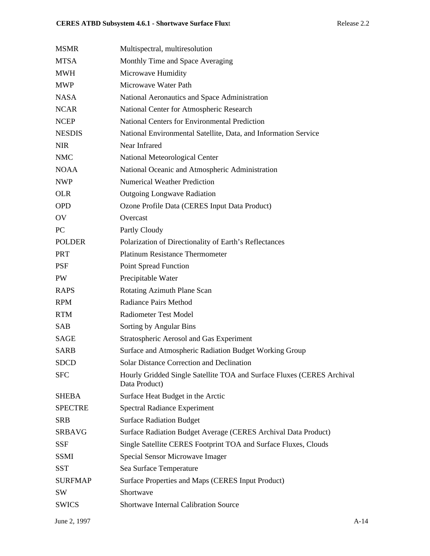| <b>MSMR</b>    | Multispectral, multiresolution                                                          |
|----------------|-----------------------------------------------------------------------------------------|
| <b>MTSA</b>    | Monthly Time and Space Averaging                                                        |
| <b>MWH</b>     | Microwave Humidity                                                                      |
| MWP            | Microwave Water Path                                                                    |
| <b>NASA</b>    | National Aeronautics and Space Administration                                           |
| <b>NCAR</b>    | National Center for Atmospheric Research                                                |
| <b>NCEP</b>    | <b>National Centers for Environmental Prediction</b>                                    |
| <b>NESDIS</b>  | National Environmental Satellite, Data, and Information Service                         |
| <b>NIR</b>     | Near Infrared                                                                           |
| <b>NMC</b>     | National Meteorological Center                                                          |
| <b>NOAA</b>    | National Oceanic and Atmospheric Administration                                         |
| NWP            | <b>Numerical Weather Prediction</b>                                                     |
| <b>OLR</b>     | <b>Outgoing Longwave Radiation</b>                                                      |
| <b>OPD</b>     | Ozone Profile Data (CERES Input Data Product)                                           |
| OV             | Overcast                                                                                |
| PC             | Partly Cloudy                                                                           |
| <b>POLDER</b>  | Polarization of Directionality of Earth's Reflectances                                  |
| <b>PRT</b>     | <b>Platinum Resistance Thermometer</b>                                                  |
| PSF            | <b>Point Spread Function</b>                                                            |
| PW             | Precipitable Water                                                                      |
| <b>RAPS</b>    | Rotating Azimuth Plane Scan                                                             |
| <b>RPM</b>     | <b>Radiance Pairs Method</b>                                                            |
| <b>RTM</b>     | <b>Radiometer Test Model</b>                                                            |
| SAB            | Sorting by Angular Bins                                                                 |
| <b>SAGE</b>    | Stratospheric Aerosol and Gas Experiment                                                |
| <b>SARB</b>    | Surface and Atmospheric Radiation Budget Working Group                                  |
| <b>SDCD</b>    | <b>Solar Distance Correction and Declination</b>                                        |
| <b>SFC</b>     | Hourly Gridded Single Satellite TOA and Surface Fluxes (CERES Archival<br>Data Product) |
| <b>SHEBA</b>   | Surface Heat Budget in the Arctic                                                       |
| <b>SPECTRE</b> | <b>Spectral Radiance Experiment</b>                                                     |
| SRB            | <b>Surface Radiation Budget</b>                                                         |
| <b>SRBAVG</b>  | Surface Radiation Budget Average (CERES Archival Data Product)                          |
| <b>SSF</b>     | Single Satellite CERES Footprint TOA and Surface Fluxes, Clouds                         |
| <b>SSMI</b>    | Special Sensor Microwave Imager                                                         |
| <b>SST</b>     | Sea Surface Temperature                                                                 |
| <b>SURFMAP</b> | Surface Properties and Maps (CERES Input Product)                                       |
| SW             | Shortwave                                                                               |
| <b>SWICS</b>   | <b>Shortwave Internal Calibration Source</b>                                            |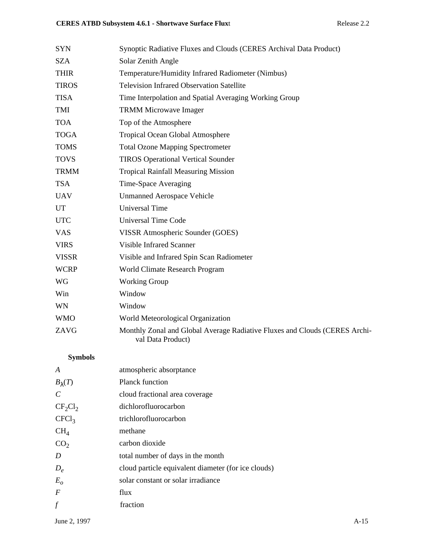| <b>SYN</b>   | Synoptic Radiative Fluxes and Clouds (CERES Archival Data Product)                              |
|--------------|-------------------------------------------------------------------------------------------------|
| <b>SZA</b>   | Solar Zenith Angle                                                                              |
| <b>THIR</b>  | Temperature/Humidity Infrared Radiometer (Nimbus)                                               |
| <b>TIROS</b> | <b>Television Infrared Observation Satellite</b>                                                |
| <b>TISA</b>  | Time Interpolation and Spatial Averaging Working Group                                          |
| TMI          | <b>TRMM Microwave Imager</b>                                                                    |
| <b>TOA</b>   | Top of the Atmosphere                                                                           |
| <b>TOGA</b>  | Tropical Ocean Global Atmosphere                                                                |
| <b>TOMS</b>  | <b>Total Ozone Mapping Spectrometer</b>                                                         |
| <b>TOVS</b>  | <b>TIROS Operational Vertical Sounder</b>                                                       |
| <b>TRMM</b>  | <b>Tropical Rainfall Measuring Mission</b>                                                      |
| <b>TSA</b>   | Time-Space Averaging                                                                            |
| <b>UAV</b>   | <b>Unmanned Aerospace Vehicle</b>                                                               |
| UT           | <b>Universal Time</b>                                                                           |
| <b>UTC</b>   | <b>Universal Time Code</b>                                                                      |
| <b>VAS</b>   | VISSR Atmospheric Sounder (GOES)                                                                |
| <b>VIRS</b>  | <b>Visible Infrared Scanner</b>                                                                 |
| <b>VISSR</b> | Visible and Infrared Spin Scan Radiometer                                                       |
| <b>WCRP</b>  | World Climate Research Program                                                                  |
| WG           | <b>Working Group</b>                                                                            |
| Win          | Window                                                                                          |
| WN           | Window                                                                                          |
| <b>WMO</b>   | World Meteorological Organization                                                               |
| ZAVG         | Monthly Zonal and Global Average Radiative Fluxes and Clouds (CERES Archi-<br>val Data Product) |
|              |                                                                                                 |

# **Symbols**

| A                     | atmospheric absorptance                             |
|-----------------------|-----------------------------------------------------|
| $B_{\lambda}(T)$      | <b>Planck function</b>                              |
| $\mathcal{C}_{0}^{0}$ | cloud fractional area coverage                      |
| $CF_2Cl_2$            | dichlorofluorocarbon                                |
| CFCl <sub>3</sub>     | trichlorofluorocarbon                               |
| $CH_4$                | methane                                             |
| CO <sub>2</sub>       | carbon dioxide                                      |
| D                     | total number of days in the month                   |
| $D_e$                 | cloud particle equivalent diameter (for ice clouds) |
| $E_{o}$               | solar constant or solar irradiance                  |
| $\overline{F}$        | flux                                                |
| f                     | fraction                                            |
|                       |                                                     |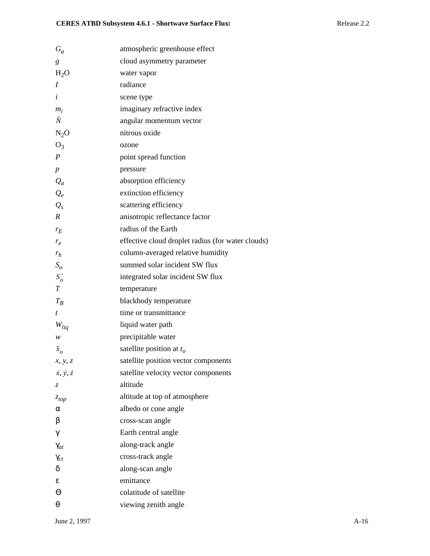| $G_a$                       | atmospheric greenhouse effect                     |
|-----------------------------|---------------------------------------------------|
| g                           | cloud asymmetry parameter                         |
| $H_2O$                      | water vapor                                       |
| Ι                           | radiance                                          |
| $\dot{i}$                   | scene type                                        |
| $m_i$                       | imaginary refractive index                        |
| Ñ                           | angular momentum vector                           |
| $N_2O$                      | nitrous oxide                                     |
| $O_3$                       | ozone                                             |
| $\boldsymbol{P}$            | point spread function                             |
| $\boldsymbol{p}$            | pressure                                          |
| $Q_a$                       | absorption efficiency                             |
| $Q_e$                       | extinction efficiency                             |
| $Q_{s}$                     | scattering efficiency                             |
| $\boldsymbol{R}$            | anisotropic reflectance factor                    |
| $r_E$                       | radius of the Earth                               |
| $r_e$                       | effective cloud droplet radius (for water clouds) |
| $r_h$                       | column-averaged relative humidity                 |
| $S_{\alpha}$                | summed solar incident SW flux                     |
| $S'_{o}$                    | integrated solar incident SW flux                 |
| T                           | temperature                                       |
| $T_B$                       | blackbody temperature                             |
| t                           | time or transmittance                             |
| $W_{liq}$                   | liquid water path                                 |
| w                           | precipitable water                                |
| $\hat{x}_o$                 | satellite position at $t_o$                       |
| x, y, z                     | satellite position vector components              |
| $\dot{x}, \dot{y}, \dot{z}$ | satellite velocity vector components              |
| Z.                          | altitude                                          |
| $z_{top}$                   | altitude at top of atmosphere                     |
| α                           | albedo or cone angle                              |
| β                           | cross-scan angle                                  |
| γ                           | Earth central angle                               |
| $\gamma_{at}$               | along-track angle                                 |
| $\gamma_{ct}$               | cross-track angle                                 |
| δ                           | along-scan angle                                  |
| ε                           | emittance                                         |
| Θ                           | colatitude of satellite                           |
| θ                           | viewing zenith angle                              |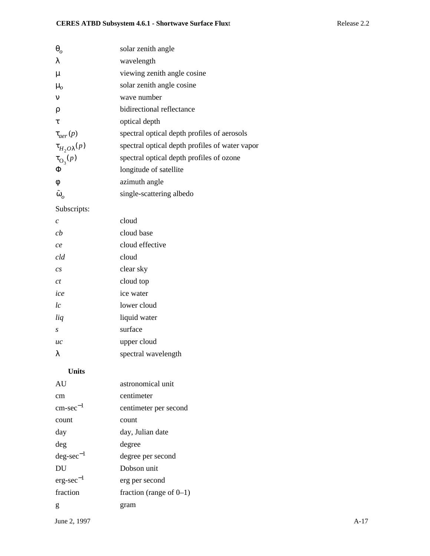| $\boldsymbol{\theta}_{o}$ | solar zenith angle                             |
|---------------------------|------------------------------------------------|
| λ                         | wavelength                                     |
| μ                         | viewing zenith angle cosine                    |
| $\mu_{o}$                 | solar zenith angle cosine                      |
| ν                         | wave number                                    |
| ρ                         | bidirectional reflectance                      |
| τ                         | optical depth                                  |
| $\tau_{aer}(p)$           | spectral optical depth profiles of aerosols    |
| $\tau_{H_2O\lambda}(p)$   | spectral optical depth profiles of water vapor |
| $\tau_{\text{O}_3}(p)$    | spectral optical depth profiles of ozone       |
| Φ                         | longitude of satellite                         |
| φ                         | azimuth angle                                  |
| $\tilde{\omega}_o$        | single-scattering albedo                       |
| Subscripts:               |                                                |
| $\mathcal{C}_{0}^{0}$     | cloud                                          |
| cb                        | cloud base                                     |
| ce                        | cloud effective                                |
| cld                       | cloud                                          |
| cs                        | clear sky                                      |
| ct                        | cloud top                                      |
| ice                       | ice water                                      |
| l c                       | lower cloud                                    |
| liq                       | liquid water                                   |
| S                         | surface                                        |
| uc                        | upper cloud                                    |
| λ                         | spectral wavelength                            |
| <b>Units</b>              |                                                |
| AU                        | astronomical unit                              |
| cm                        | centimeter                                     |
| $cm\text{-}sec^{-1}$      | centimeter per second                          |
| count                     | count                                          |
| day                       | day, Julian date                               |
| deg                       | degree                                         |
| $deg\text{-}sec^{-1}$     | degree per second                              |
| DU                        | Dobson unit                                    |
| $erg\text{-}sec^{-1}$     | erg per second                                 |
| fraction                  | fraction (range of $0-1$ )                     |

g gram